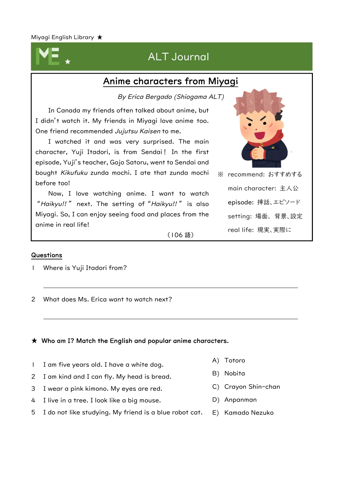# ALT Journal

# Anime characters from Miyagi

By Erica Bergado (Shiogama ALT)

In Canada my friends often talked about anime, but I didn't watch it. My friends in Miyagi love anime too. One friend recommended Jujutsu Kaisen to me.

I watched it and was very surprised. The main character, Yuji Itadori, is from Sendai! In the first episode, Yuji's teacher, Gojo Satoru, went to Sendai and bought Kikufuku zunda mochi. I ate that zunda mochi before too!

Now, I love watching anime. I want to watch "*Haikyu!!"* next. The setting of "*Haikyu!!"* is also Miyagi. So, I can enjoy seeing food and places from the anime in real life!



※ recommend: おすすめする main character: 主人公 episode: 挿話、エピソード setting: 場面、 背景、設定 real life: 現実、実際に

(106 語)

## Questions

- 1 Where is Yuji Itadori from?
- 2 What does Ms. Erica want to watch next?

### $\star$  Who am I? Match the English and popular anime characters.

- 1 I am five years old. I have a white dog.
- 2 I am kind and I can fly. My head is bread.
- 3 I wear a pink kimono. My eyes are red.
- 4 I live in a tree. I look like a big mouse.
- 5 I do not like studying. My friend is a blue robot cat.
- A) Totoro
- B) Nobita
- C) Crayon Shin-chan
- D) Anpanman
- E) Kamado Nezuko